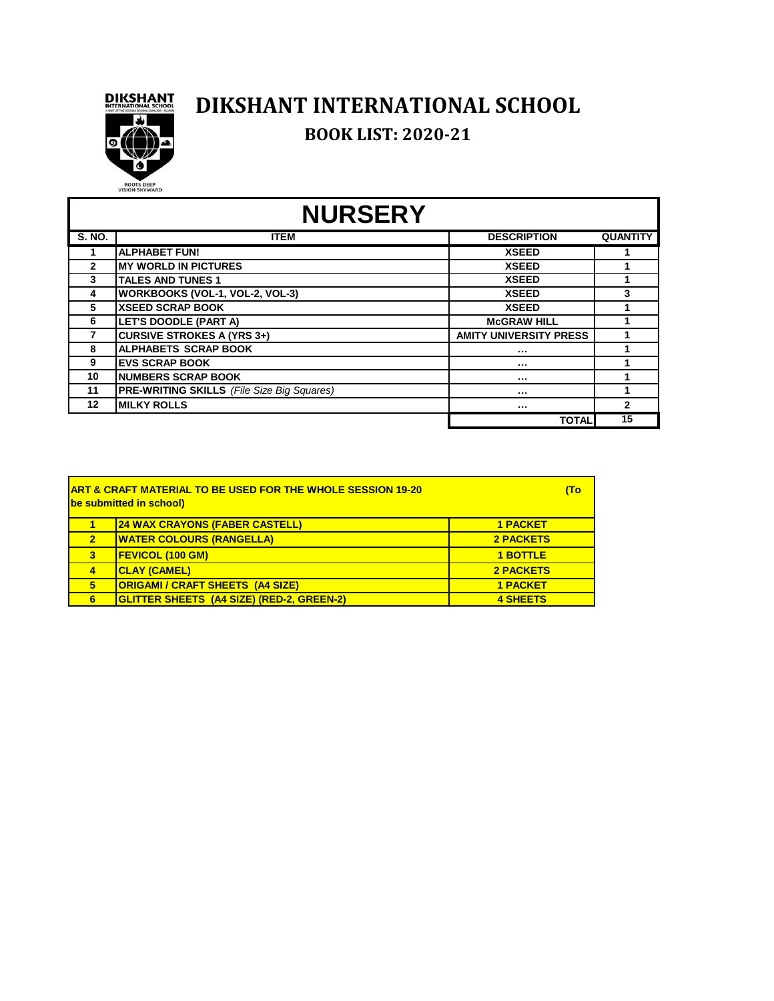

## **DIKSHANT INTERNATIONAL SCHOOL**

**BOOK LIST: 2020-21**

# **NURSERY**

| <b>S. NO.</b> | <b>ITEM</b>                                       | <b>DESCRIPTION</b>            | <b>QUANTITY</b> |
|---------------|---------------------------------------------------|-------------------------------|-----------------|
|               | <b>ALPHABET FUN!</b>                              | <b>XSEED</b>                  |                 |
| $\mathbf{2}$  | <b>MY WORLD IN PICTURES</b>                       | <b>XSEED</b>                  |                 |
| 3             | <b>TALES AND TUNES 1</b>                          | <b>XSEED</b>                  |                 |
| 4             | WORKBOOKS (VOL-1, VOL-2, VOL-3)                   | <b>XSEED</b>                  |                 |
| 5             | <b>XSEED SCRAP BOOK</b>                           | <b>XSEED</b>                  |                 |
| 6             | <b>LET'S DOODLE (PART A)</b>                      | <b>McGRAW HILL</b>            |                 |
|               | <b>CURSIVE STROKES A (YRS 3+)</b>                 | <b>AMITY UNIVERSITY PRESS</b> |                 |
| 8             | <b>ALPHABETS SCRAP BOOK</b>                       |                               |                 |
| 9             | <b>EVS SCRAP BOOK</b>                             | $\cdots$                      |                 |
| 10            | <b>NUMBERS SCRAP BOOK</b>                         |                               |                 |
| 11            | <b>PRE-WRITING SKILLS</b> (File Size Big Squares) |                               |                 |
| 12            | <b>MILKY ROLLS</b>                                |                               | $\mathbf{2}$    |
|               |                                                   | <b>TOTAL</b>                  | 15              |

| <b>IART &amp; CRAFT MATERIAL TO BE USED FOR THE WHOLE SESSION 19-20</b><br><b>be submitted in school)</b> |                  |  |
|-----------------------------------------------------------------------------------------------------------|------------------|--|
| <b>24 WAX CRAYONS (FABER CASTELL)</b>                                                                     | <b>1 PACKET</b>  |  |
| <b>WATER COLOURS (RANGELLA)</b>                                                                           | <b>2 PACKETS</b> |  |
| <b>FEVICOL (100 GM)</b>                                                                                   | <b>1 BOTTLE</b>  |  |
| <b>CLAY (CAMEL)</b>                                                                                       | 2 PACKETS        |  |
| <b>ORIGAMI / CRAFT SHEETS (A4 SIZE)</b>                                                                   | <b>1 PACKET</b>  |  |
| GLITTER SHEETS (A4 SIZE) (RED-2, GREEN-2)                                                                 | <b>4 SHEETS</b>  |  |
|                                                                                                           |                  |  |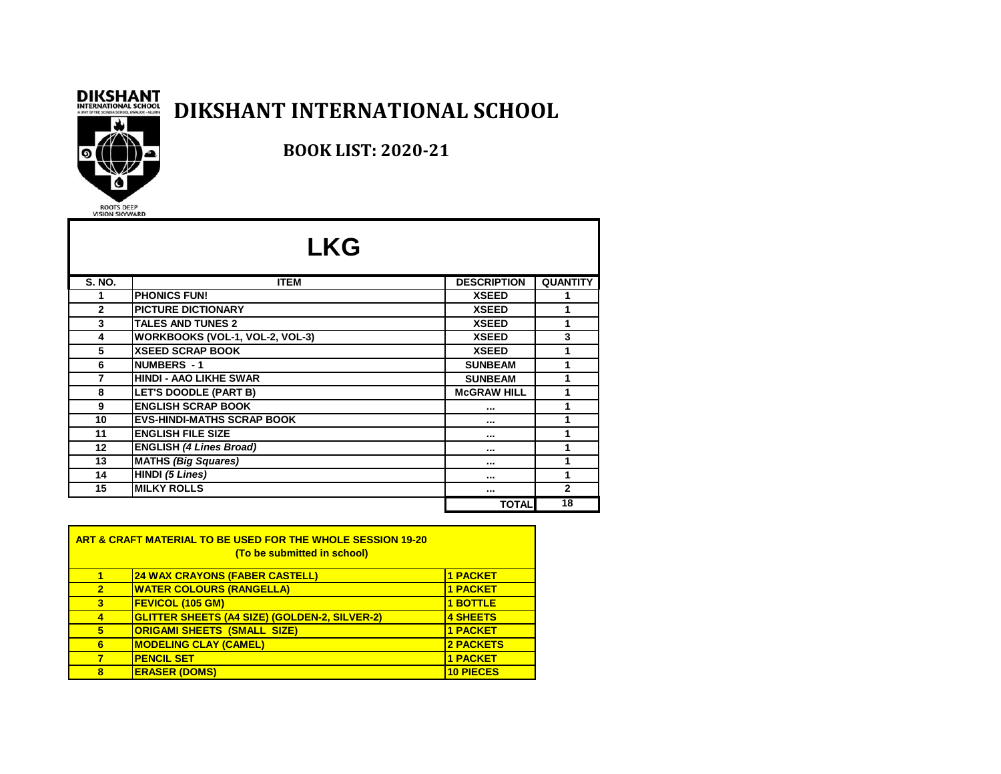#### **DIKSHANT INTERNATIONAL SCHOOL**



#### **BOOK LIST: 2020-21**

|               | <b>LKG</b>                        |                    |                 |
|---------------|-----------------------------------|--------------------|-----------------|
| <b>S. NO.</b> | <b>ITEM</b>                       | <b>DESCRIPTION</b> | <b>QUANTITY</b> |
| 1             | <b>PHONICS FUN!</b>               | <b>XSEED</b>       |                 |
| $\mathbf{2}$  | <b>PICTURE DICTIONARY</b>         | <b>XSEED</b>       | 1               |
| 3             | <b>TALES AND TUNES 2</b>          | <b>XSEED</b>       | 1               |
| 4             | WORKBOOKS (VOL-1, VOL-2, VOL-3)   | <b>XSEED</b>       | 3               |
| 5             | <b>XSEED SCRAP BOOK</b>           | <b>XSEED</b>       |                 |
| 6             | <b>NUMBERS - 1</b>                | <b>SUNBEAM</b>     | 1               |
| 7             | <b>HINDI - AAO LIKHE SWAR</b>     | <b>SUNBEAM</b>     | 1               |
| 8             | LET'S DOODLE (PART B)             | <b>McGRAW HILL</b> | 1               |
| 9             | <b>ENGLISH SCRAP BOOK</b>         |                    | 1               |
| 10            | <b>EVS-HINDI-MATHS SCRAP BOOK</b> |                    | 1               |
| 11            | <b>ENGLISH FILE SIZE</b>          | $\cdots$           |                 |
| 12            | <b>ENGLISH (4 Lines Broad)</b>    |                    |                 |
| 13            | <b>MATHS (Big Squares)</b>        |                    | 1               |
| 14            | HINDI (5 Lines)                   | $\cdots$           |                 |
| 15            | <b>MILKY ROLLS</b>                | $\cdots$           | $\mathbf{2}$    |
|               |                                   | <b>TOTAL</b>       | 18              |

| <b>ART &amp; CRAFT MATERIAL TO BE USED FOR THE WHOLE SESSION 19-20</b><br>(To be submitted in school) |                                                      |                  |  |
|-------------------------------------------------------------------------------------------------------|------------------------------------------------------|------------------|--|
|                                                                                                       | <b>24 WAX CRAYONS (FABER CASTELL)</b>                | 1 PACKET         |  |
| $\overline{2}$                                                                                        | <b>WATER COLOURS (RANGELLA)</b>                      | <b>1 PACKET</b>  |  |
| 3                                                                                                     | <b>FEVICOL (105 GM)</b>                              | <b>1 BOTTLE</b>  |  |
| 4                                                                                                     | <b>GLITTER SHEETS (A4 SIZE) (GOLDEN-2, SILVER-2)</b> | <b>4 SHEETS</b>  |  |
| 5                                                                                                     | <b>ORIGAMI SHEETS (SMALL SIZE)</b>                   | 1 PACKET         |  |
| 6                                                                                                     | <b>MODELING CLAY (CAMEL)</b>                         | <b>2 PACKETS</b> |  |
|                                                                                                       | <b>PENCIL SET</b>                                    | 1 PACKET         |  |
| 8                                                                                                     | <b>ERASER (DOMS)</b>                                 | <b>10 PIECES</b> |  |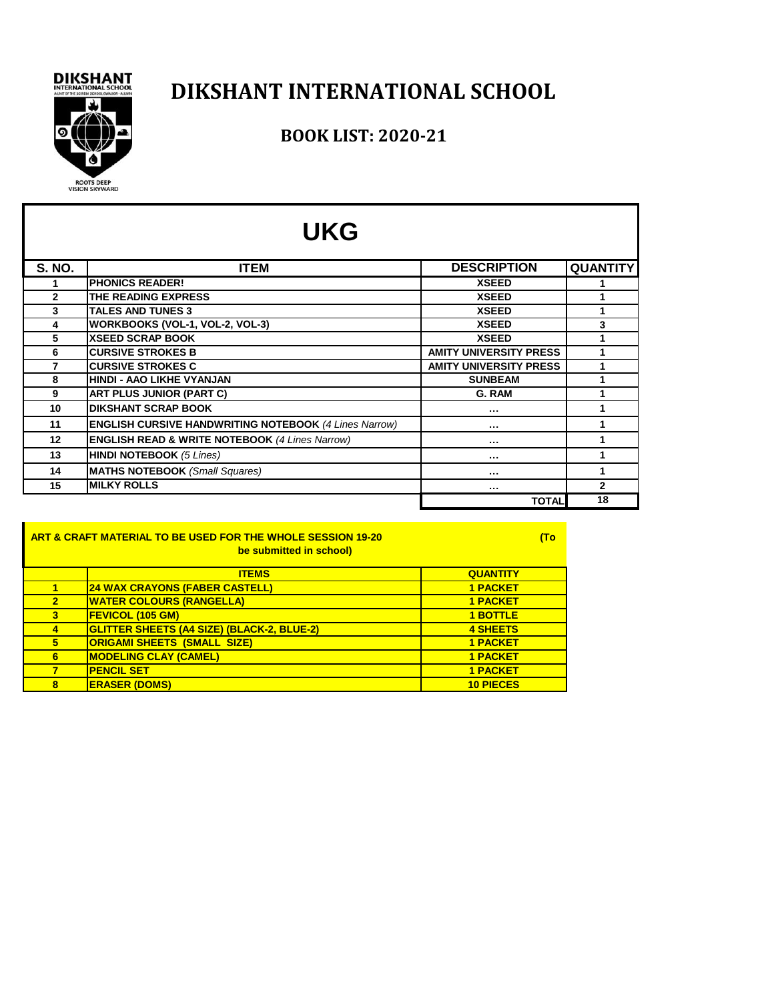# ROOTS DEEP<br>VISION SKYWARD

## **DIKSHANT INTERNATIONAL SCHOOL**

#### **BOOK LIST: 2020-21**

| <b>UKG</b>    |                                                              |                               |                 |  |
|---------------|--------------------------------------------------------------|-------------------------------|-----------------|--|
| <b>S. NO.</b> | <b>ITEM</b>                                                  | <b>DESCRIPTION</b>            | <b>QUANTITY</b> |  |
|               | <b>PHONICS READER!</b>                                       | <b>XSEED</b>                  |                 |  |
| $\mathbf{2}$  | THE READING EXPRESS                                          | <b>XSEED</b>                  | 1               |  |
| 3             | <b>TALES AND TUNES 3</b>                                     | <b>XSEED</b>                  | 1               |  |
| 4             | WORKBOOKS (VOL-1, VOL-2, VOL-3)                              | <b>XSEED</b>                  | 3               |  |
| 5             | <b>XSEED SCRAP BOOK</b>                                      | <b>XSEED</b>                  | 1               |  |
| 6             | <b>CURSIVE STROKES B</b>                                     | <b>AMITY UNIVERSITY PRESS</b> | 1               |  |
| 7             | <b>CURSIVE STROKES C</b>                                     | <b>AMITY UNIVERSITY PRESS</b> | 1               |  |
| 8             | <b>HINDI - AAO LIKHE VYANJAN</b>                             | <b>SUNBEAM</b>                | 1               |  |
| 9             | ART PLUS JUNIOR (PART C)                                     | G. RAM                        | 1               |  |
| 10            | <b>DIKSHANT SCRAP BOOK</b>                                   |                               | 1               |  |
| 11            | <b>ENGLISH CURSIVE HANDWRITING NOTEBOOK (4 Lines Narrow)</b> |                               | 1               |  |
| $12 \,$       | <b>ENGLISH READ &amp; WRITE NOTEBOOK (4 Lines Narrow)</b>    |                               | 1               |  |
| 13            | <b>HINDI NOTEBOOK (5 Lines)</b>                              |                               | 1               |  |
| 14            | <b>MATHS NOTEBOOK</b> (Small Squares)                        | $\cdots$                      | 1               |  |
| 15            | <b>MILKY ROLLS</b>                                           |                               | 2               |  |
|               |                                                              | <b>TOTAL</b>                  | 18              |  |

| ART & CRAFT MATERIAL TO BE USED FOR THE WHOLE SESSION 19-20<br>be submitted in school) |                                                   |                  | (To |
|----------------------------------------------------------------------------------------|---------------------------------------------------|------------------|-----|
|                                                                                        | <b>ITEMS</b>                                      | <b>QUANTITY</b>  |     |
|                                                                                        | <b>24 WAX CRAYONS (FABER CASTELL)</b>             | <b>1 PACKET</b>  |     |
| $\overline{2}$                                                                         | <b>WATER COLOURS (RANGELLA)</b>                   | <b>1 PACKET</b>  |     |
| 3                                                                                      | <b>FEVICOL (105 GM)</b>                           | <b>1 BOTTLE</b>  |     |
| $\overline{4}$                                                                         | <b>GLITTER SHEETS (A4 SIZE) (BLACK-2, BLUE-2)</b> | <b>4 SHEETS</b>  |     |
| 5                                                                                      | <b>ORIGAMI SHEETS (SMALL SIZE)</b>                | <b>1 PACKET</b>  |     |
| 6                                                                                      | <b>MODELING CLAY (CAMEL)</b>                      | <b>1 PACKET</b>  |     |
| 7                                                                                      | <b>PENCIL SET</b>                                 | <b>1 PACKET</b>  |     |
| 8                                                                                      | <b>ERASER (DOMS)</b>                              | <b>10 PIECES</b> |     |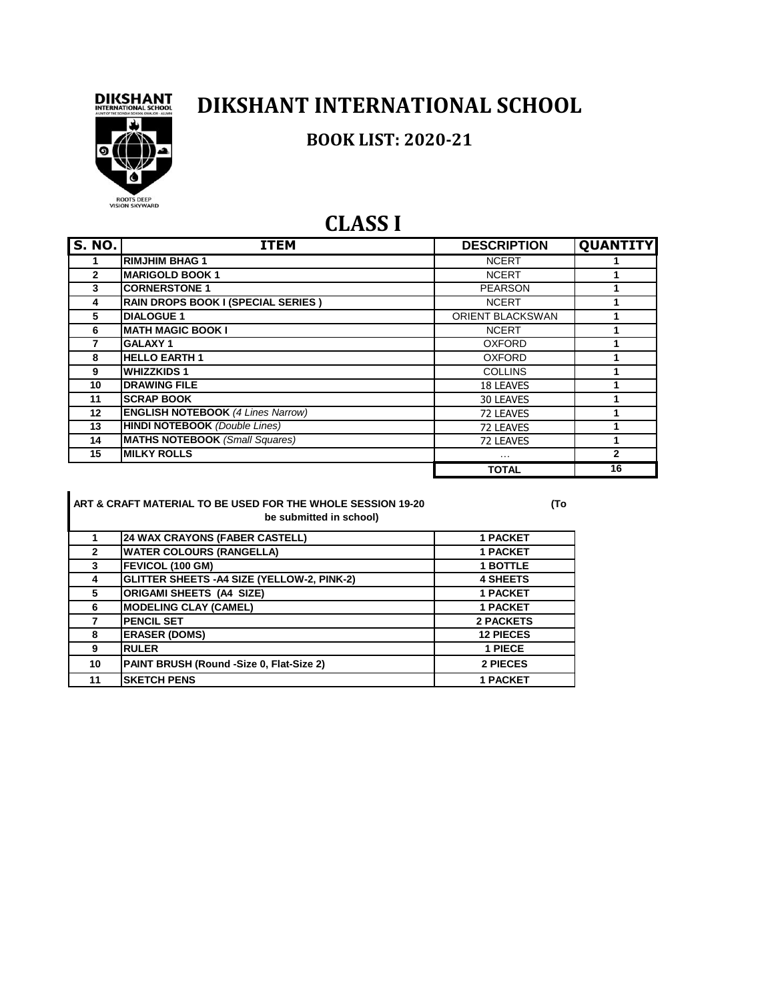

#### **DIKSHANT INTERNATIONAL SCHOOL**

#### **BOOK LIST: 2020-21**



#### **CLASS I**

| <b>S. NO.</b> | <b>ITEM</b>                              | <b>DESCRIPTION</b>      | <b>QUANTITY</b> |
|---------------|------------------------------------------|-------------------------|-----------------|
|               | <b>RIMJHIM BHAG 1</b>                    | <b>NCERT</b>            |                 |
| $\mathbf{2}$  | <b>MARIGOLD BOOK 1</b>                   | <b>NCERT</b>            |                 |
| 3             | <b>CORNERSTONE 1</b>                     | <b>PEARSON</b>          |                 |
| 4             | RAIN DROPS BOOK I (SPECIAL SERIES)       | <b>NCERT</b>            |                 |
| 5             | <b>DIALOGUE 1</b>                        | <b>ORIENT BLACKSWAN</b> |                 |
| 6             | <b>MATH MAGIC BOOK I</b>                 | <b>NCERT</b>            |                 |
|               | <b>GALAXY1</b>                           | <b>OXFORD</b>           |                 |
| 8             | <b>HELLO EARTH1</b>                      | <b>OXFORD</b>           |                 |
| 9             | <b>WHIZZKIDS1</b>                        | <b>COLLINS</b>          |                 |
| 10            | <b>DRAWING FILE</b>                      | 18 LEAVES               |                 |
| 11            | <b>SCRAP BOOK</b>                        | 30 LEAVES               |                 |
| 12            | <b>ENGLISH NOTEBOOK (4 Lines Narrow)</b> | 72 LEAVES               |                 |
| 13            | <b>HINDI NOTEBOOK</b> (Double Lines)     | 72 LEAVES               |                 |
| 14            | <b>MATHS NOTEBOOK (Small Squares)</b>    | 72 LEAVES               |                 |
| 15            | <b>MILKY ROLLS</b>                       | $\cdots$                | $\mathbf{2}$    |
|               |                                          | <b>TOTAL</b>            | 16              |

**ART & CRAFT MATERIAL TO BE USED FOR THE WHOLE SESSION 19-20 (To be submitted in school)**

|              | <b>24 WAX CRAYONS (FABER CASTELL)</b>       | <b>1 PACKET</b>  |
|--------------|---------------------------------------------|------------------|
| $\mathbf{2}$ | <b>WATER COLOURS (RANGELLA)</b>             | <b>1 PACKET</b>  |
| 3            | <b>FEVICOL (100 GM)</b>                     | <b>1 BOTTLE</b>  |
| 4            | GLITTER SHEETS - A4 SIZE (YELLOW-2, PINK-2) | <b>4 SHEETS</b>  |
| 5            | <b>ORIGAMI SHEETS (A4 SIZE)</b>             | <b>1 PACKET</b>  |
| 6            | <b>MODELING CLAY (CAMEL)</b>                | <b>1 PACKET</b>  |
|              | <b>PENCIL SET</b>                           | <b>2 PACKETS</b> |
| 8            | <b>ERASER (DOMS)</b>                        | <b>12 PIECES</b> |
| 9            | <b>RULER</b>                                | 1 PIECE          |
| 10           | PAINT BRUSH (Round -Size 0, Flat-Size 2)    | 2 PIECES         |
| 11           | <b>SKETCH PENS</b>                          | <b>1 PACKET</b>  |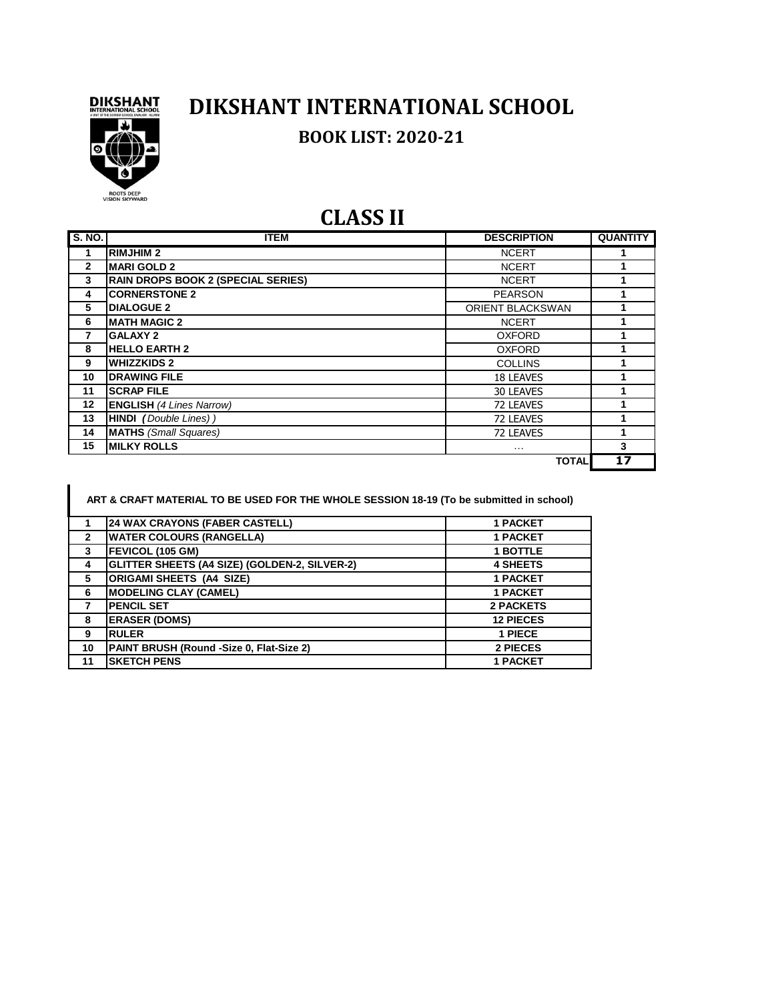

## **DIKSHANT INTERNATIONAL SCHOOL BOOK LIST: 2020-21**

#### **CLASS II**

| S. NO.         | <b>ITEM</b>                               | <b>DESCRIPTION</b>      | <b>QUANTITY</b> |
|----------------|-------------------------------------------|-------------------------|-----------------|
| 1              | <b>RIMJHIM2</b>                           | <b>NCERT</b>            |                 |
| $\overline{2}$ | <b>IMARI GOLD 2</b>                       | <b>NCERT</b>            |                 |
| 3              | <b>RAIN DROPS BOOK 2 (SPECIAL SERIES)</b> | <b>NCERT</b>            |                 |
| 4              | <b>CORNERSTONE 2</b>                      | <b>PEARSON</b>          |                 |
| 5              | <b>DIALOGUE 2</b>                         | <b>ORIENT BLACKSWAN</b> |                 |
| 6              | <b>MATH MAGIC 2</b>                       | <b>NCERT</b>            |                 |
| 7              | <b>GALAXY 2</b>                           | <b>OXFORD</b>           |                 |
| 8              | <b>HELLO EARTH 2</b>                      | <b>OXFORD</b>           |                 |
| 9              | <b>WHIZZKIDS 2</b>                        | <b>COLLINS</b>          |                 |
| 10             | <b>DRAWING FILE</b>                       | <b>18 LEAVES</b>        |                 |
| 11             | <b>SCRAP FILE</b>                         | 30 LEAVES               |                 |
| 12             | <b>ENGLISH (4 Lines Narrow)</b>           | 72 LEAVES               |                 |
| 13             | <b>HINDI</b> (Double Lines))              | 72 LEAVES               |                 |
| 14             | <b>MATHS</b> (Small Squares)              | 72 LEAVES               |                 |
| 15             | <b>IMILKY ROLLS</b>                       | $\cdots$                | 3               |
|                |                                           | <b>TOTAL</b>            | 17              |

|                | ART & CRAFT MATERIAL TO BE USED FOR THE WHOLE SESSION 18-19 (To be submitted in school) |                  |
|----------------|-----------------------------------------------------------------------------------------|------------------|
|                | <b>24 WAX CRAYONS (FABER CASTELL)</b>                                                   | <b>1 PACKET</b>  |
| $\overline{2}$ | <b>WATER COLOURS (RANGELLA)</b>                                                         | <b>1 PACKET</b>  |
| 3              | FEVICOL (105 GM)                                                                        | <b>1 BOTTLE</b>  |
| 4              | GLITTER SHEETS (A4 SIZE) (GOLDEN-2, SILVER-2)                                           | <b>4 SHEETS</b>  |
| 5              | <b>ORIGAMI SHEETS (A4 SIZE)</b>                                                         | <b>1 PACKET</b>  |
| 6              | <b>MODELING CLAY (CAMEL)</b>                                                            | <b>1 PACKET</b>  |
| 7              | <b>PENCIL SET</b>                                                                       | <b>2 PACKETS</b> |
| 8              | <b>ERASER (DOMS)</b>                                                                    | <b>12 PIECES</b> |
| 9              | <b>RULER</b>                                                                            | 1 PIECE          |
| 10             | PAINT BRUSH (Round -Size 0, Flat-Size 2)                                                | 2 PIECES         |
| 11             | <b>SKETCH PENS</b>                                                                      | <b>1 PACKET</b>  |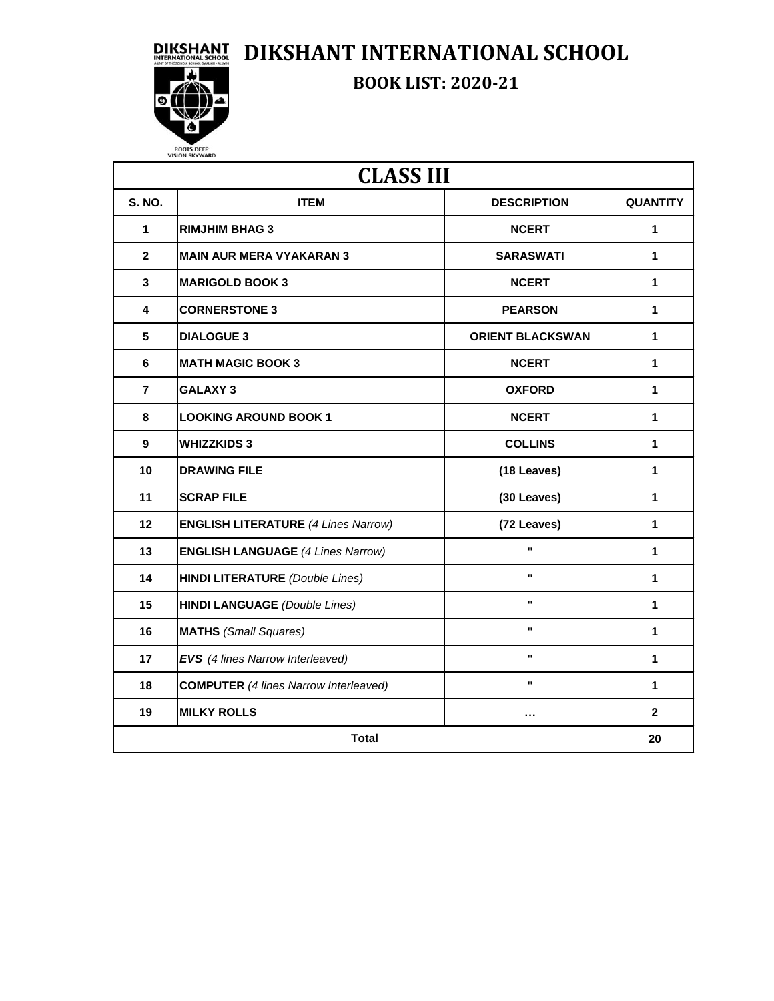**DIKSHANT DIKSHANT INTERNATIONAL SCHOOL** 



**BOOK LIST: 2020-21**

| <b>CLASS III</b> |                                              |                         |                 |  |
|------------------|----------------------------------------------|-------------------------|-----------------|--|
| <b>S. NO.</b>    | <b>ITEM</b>                                  | <b>DESCRIPTION</b>      | <b>QUANTITY</b> |  |
| 1                | <b>RIMJHIM BHAG 3</b>                        | <b>NCERT</b>            | 1               |  |
| $\overline{2}$   | <b>MAIN AUR MERA VYAKARAN 3</b>              | <b>SARASWATI</b>        | 1.              |  |
| 3                | <b>MARIGOLD BOOK 3</b>                       | <b>NCERT</b>            | $\mathbf{1}$    |  |
| 4                | <b>CORNERSTONE 3</b>                         | <b>PEARSON</b>          | 1.              |  |
| 5                | <b>DIALOGUE 3</b>                            | <b>ORIENT BLACKSWAN</b> | 1               |  |
| 6                | <b>MATH MAGIC BOOK 3</b>                     | <b>NCERT</b>            | $\mathbf{1}$    |  |
| $\overline{7}$   | <b>GALAXY 3</b>                              | <b>OXFORD</b>           | 1.              |  |
| 8                | <b>LOOKING AROUND BOOK 1</b>                 | <b>NCERT</b>            | $\mathbf{1}$    |  |
| 9                | <b>WHIZZKIDS 3</b>                           | <b>COLLINS</b>          | 1.              |  |
| 10               | <b>DRAWING FILE</b>                          | (18 Leaves)             | $\mathbf{1}$    |  |
| 11               | <b>SCRAP FILE</b>                            | (30 Leaves)             | 1.              |  |
| 12               | <b>ENGLISH LITERATURE (4 Lines Narrow)</b>   | (72 Leaves)             | $\mathbf{1}$    |  |
| 13               | <b>ENGLISH LANGUAGE (4 Lines Narrow)</b>     | $\blacksquare$          | 1               |  |
| 14               | <b>HINDI LITERATURE</b> (Double Lines)       | $\mathbf{u}$            | $\mathbf{1}$    |  |
| 15               | <b>HINDI LANGUAGE</b> (Double Lines)         | $\mathbf{u}$            | $\mathbf{1}$    |  |
| 16               | <b>MATHS</b> (Small Squares)                 | $\blacksquare$          | 1.              |  |
| 17               | EVS (4 lines Narrow Interleaved)             | $\mathbf{u}$            | 1               |  |
| 18               | <b>COMPUTER</b> (4 lines Narrow Interleaved) | $\mathbf{u}$            | 1.              |  |
| 19               | <b>MILKY ROLLS</b>                           | $\cdots$                | $\mathbf{2}$    |  |
| <b>Total</b>     |                                              |                         |                 |  |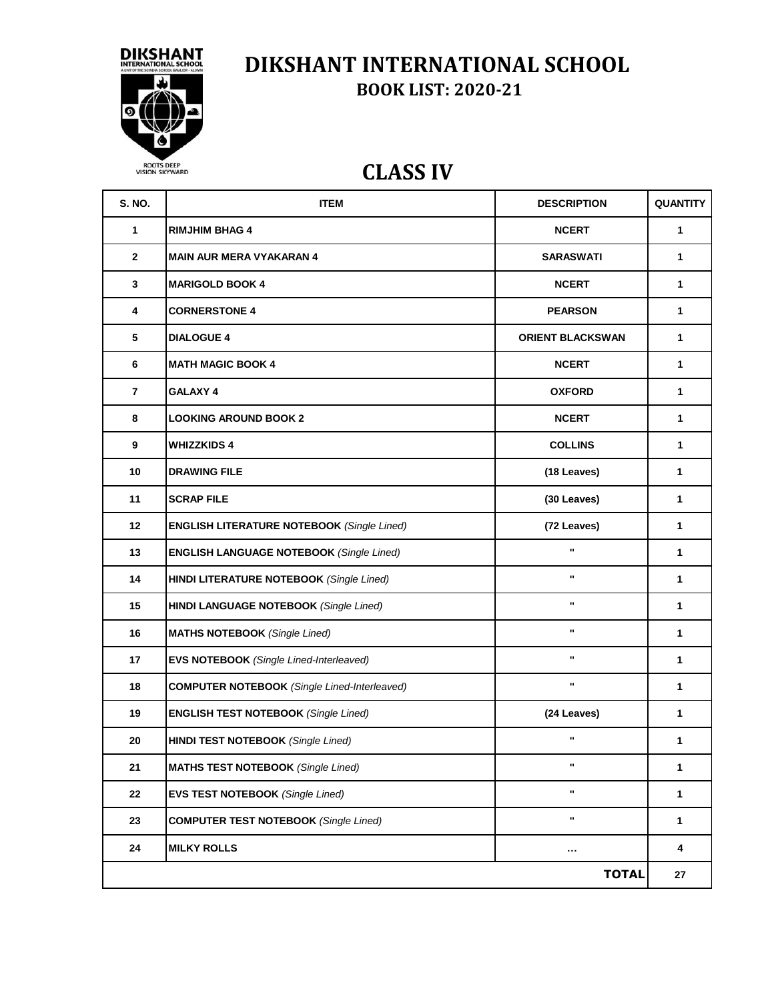

#### **DIKSHANT INTERNATIONAL SCHOOL BOOK LIST: 2020-21**

#### **CLASS IV**

| <b>S. NO.</b> | <b>ITEM</b>                                         | <b>DESCRIPTION</b>      | QUANTITY     |
|---------------|-----------------------------------------------------|-------------------------|--------------|
| 1             | <b>RIMJHIM BHAG 4</b>                               | <b>NCERT</b>            | $\mathbf 1$  |
| $\mathbf{2}$  | <b>MAIN AUR MERA VYAKARAN 4</b>                     | <b>SARASWATI</b>        | $\mathbf{1}$ |
| 3             | <b>MARIGOLD BOOK 4</b>                              | <b>NCERT</b>            | $\mathbf{1}$ |
| 4             | <b>CORNERSTONE 4</b>                                | <b>PEARSON</b>          | $\mathbf{1}$ |
| 5             | <b>DIALOGUE 4</b>                                   | <b>ORIENT BLACKSWAN</b> | 1            |
| 6             | <b>MATH MAGIC BOOK 4</b>                            | <b>NCERT</b>            | $\mathbf{1}$ |
| 7             | GALAXY 4                                            | <b>OXFORD</b>           | 1            |
| 8             | <b>LOOKING AROUND BOOK 2</b>                        | <b>NCERT</b>            | 1            |
| 9             | <b>WHIZZKIDS 4</b>                                  | <b>COLLINS</b>          | 1            |
| 10            | <b>DRAWING FILE</b>                                 | (18 Leaves)             | $\mathbf{1}$ |
| 11            | <b>SCRAP FILE</b>                                   | (30 Leaves)             | 1            |
| 12            | <b>ENGLISH LITERATURE NOTEBOOK (Single Lined)</b>   | (72 Leaves)             | $\mathbf{1}$ |
| 13            | <b>ENGLISH LANGUAGE NOTEBOOK (Single Lined)</b>     | u,                      | $\mathbf{1}$ |
| 14            | <b>HINDI LITERATURE NOTEBOOK (Single Lined)</b>     | $\mathbf{u}$            | $\mathbf{1}$ |
| 15            | <b>HINDI LANGUAGE NOTEBOOK (Single Lined)</b>       |                         | $\mathbf{1}$ |
| 16            | <b>MATHS NOTEBOOK</b> (Single Lined)                |                         | $\mathbf{1}$ |
| 17            | <b>EVS NOTEBOOK</b> (Single Lined-Interleaved)      |                         | $\mathbf{1}$ |
| 18            | <b>COMPUTER NOTEBOOK</b> (Single Lined-Interleaved) | $\mathbf{u}$            | 1            |
| 19            | <b>ENGLISH TEST NOTEBOOK (Single Lined)</b>         | (24 Leaves)             | 1            |
| 20            | <b>HINDI TEST NOTEBOOK (Single Lined)</b>           | $\mathbf{u}$            | 1            |
| 21            | <b>MATHS TEST NOTEBOOK</b> (Single Lined)           |                         | 1            |
| 22            | <b>EVS TEST NOTEBOOK (Single Lined)</b>             |                         | $\mathbf{1}$ |
| 23            | <b>COMPUTER TEST NOTEBOOK (Single Lined)</b>        |                         | $\mathbf{1}$ |
| 24            | <b>MILKY ROLLS</b>                                  | $\cdots$                | 4            |
|               |                                                     | <b>TOTAL</b>            | 27           |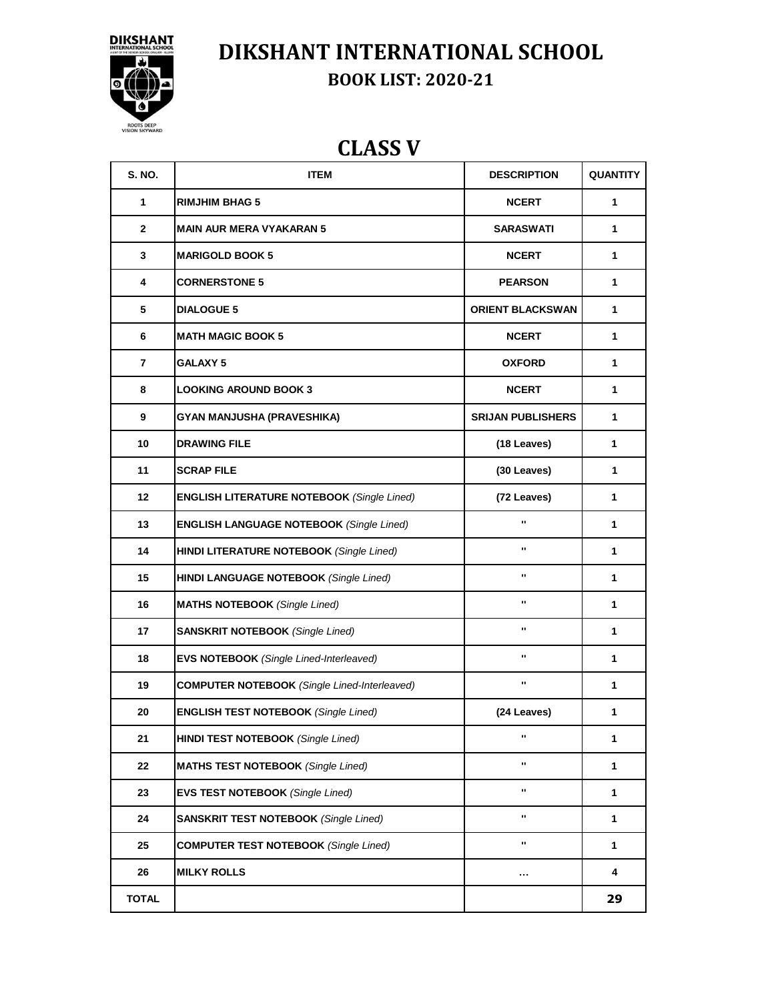

# **DIKSHANT INTERNATIONAL SCHOOL**

**BOOK LIST: 2020-21**

## **CLASS V**

| <b>S. NO.</b>  | <b>ITEM</b>                                         | <b>DESCRIPTION</b>       | <b>QUANTITY</b> |
|----------------|-----------------------------------------------------|--------------------------|-----------------|
| 1              | <b>RIMJHIM BHAG 5</b>                               | <b>NCERT</b>             | 1               |
| $\mathbf{2}$   | <b>MAIN AUR MERA VYAKARAN 5</b>                     | <b>SARASWATI</b>         | 1               |
| 3              | <b>MARIGOLD BOOK 5</b>                              | <b>NCERT</b>             | 1               |
| 4              | <b>CORNERSTONE 5</b>                                | <b>PEARSON</b>           | 1               |
| 5              | <b>DIALOGUE 5</b>                                   | <b>ORIENT BLACKSWAN</b>  | 1               |
| 6              | <b>MATH MAGIC BOOK 5</b>                            | <b>NCERT</b>             | 1               |
| $\overline{7}$ | <b>GALAXY 5</b>                                     | <b>OXFORD</b>            | 1               |
| 8              | <b>LOOKING AROUND BOOK 3</b>                        | <b>NCERT</b>             | 1               |
| 9              | GYAN MANJUSHA (PRAVESHIKA)                          | <b>SRIJAN PUBLISHERS</b> | 1               |
| 10             | <b>DRAWING FILE</b>                                 | (18 Leaves)              | 1               |
| 11             | <b>SCRAP FILE</b>                                   | (30 Leaves)              | 1               |
| 12             | <b>ENGLISH LITERATURE NOTEBOOK (Single Lined)</b>   | (72 Leaves)              | 1               |
| 13             | <b>ENGLISH LANGUAGE NOTEBOOK (Single Lined)</b>     | $\blacksquare$           | 1               |
| 14             | <b>HINDI LITERATURE NOTEBOOK (Single Lined)</b>     |                          | 1               |
| 15             | <b>HINDI LANGUAGE NOTEBOOK (Single Lined)</b>       |                          | 1               |
| 16             | <b>MATHS NOTEBOOK</b> (Single Lined)                |                          | 1               |
| 17             | <b>SANSKRIT NOTEBOOK (Single Lined)</b>             | $\mathbf{u}$             | 1               |
| 18             | <b>EVS NOTEBOOK</b> (Single Lined-Interleaved)      |                          | 1               |
| 19             | <b>COMPUTER NOTEBOOK</b> (Single Lined-Interleaved) |                          | 1               |
| 20             | <b>ENGLISH TEST NOTEBOOK (Single Lined)</b>         | (24 Leaves)              | 1               |
| 21             | <b>HINDI TEST NOTEBOOK (Single Lined)</b>           |                          | 1               |
| 22             | <b>MATHS TEST NOTEBOOK (Single Lined)</b>           |                          | 1               |
| 23             | <b>EVS TEST NOTEBOOK</b> (Single Lined)             |                          | 1               |
| 24             | <b>SANSKRIT TEST NOTEBOOK (Single Lined)</b>        |                          | 1               |
| 25             | <b>COMPUTER TEST NOTEBOOK (Single Lined)</b>        |                          | 1               |
| 26             | <b>MILKY ROLLS</b>                                  | $\cdots$                 | 4               |
| <b>TOTAL</b>   |                                                     |                          | 29              |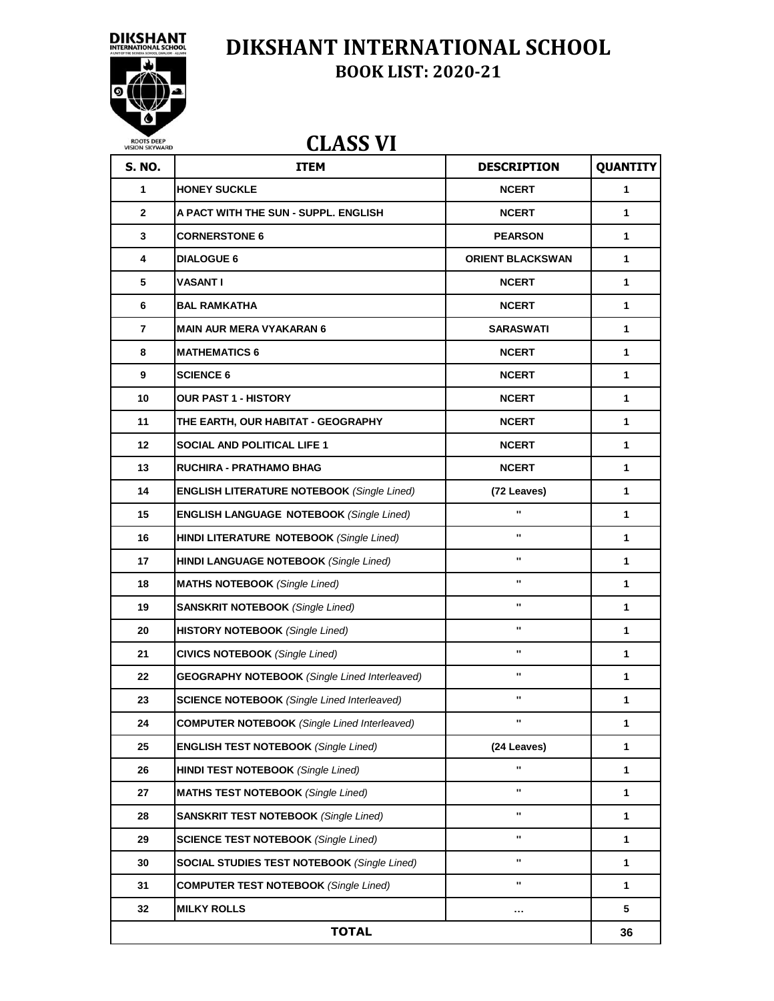



ROOTS DEEP<br>VISION SKYWARD

#### **DIKSHANT INTERNATIONAL SCHOOL BOOK LIST: 2020-21**

#### **CLASS VI**

| <b>S. NO.</b> | <b>ITEM</b>                                          | <b>DESCRIPTION</b>      | <b>QUANTITY</b> |
|---------------|------------------------------------------------------|-------------------------|-----------------|
| 1             | <b>HONEY SUCKLE</b>                                  | <b>NCERT</b>            | 1               |
| $\mathbf{2}$  | A PACT WITH THE SUN - SUPPL. ENGLISH                 | <b>NCERT</b>            | 1               |
| 3             | <b>CORNERSTONE 6</b>                                 | <b>PEARSON</b>          | 1               |
| 4             | <b>DIALOGUE 6</b>                                    | <b>ORIENT BLACKSWAN</b> | 1               |
| 5             | VASANT I                                             | <b>NCERT</b>            | 1               |
| 6             | <b>BAL RAMKATHA</b>                                  | <b>NCERT</b>            | 1               |
| 7             | <b>MAIN AUR MERA VYAKARAN 6</b>                      | <b>SARASWATI</b>        | 1               |
| 8             | <b>MATHEMATICS 6</b>                                 | <b>NCERT</b>            | 1               |
| 9             | <b>SCIENCE 6</b>                                     | <b>NCERT</b>            | 1               |
| 10            | <b>OUR PAST 1 - HISTORY</b>                          | <b>NCERT</b>            | 1               |
| 11            | THE EARTH, OUR HABITAT - GEOGRAPHY                   | <b>NCERT</b>            | 1               |
| 12            | <b>SOCIAL AND POLITICAL LIFE 1</b>                   | <b>NCERT</b>            | 1               |
| 13            | RUCHIRA - PRATHAMO BHAG                              | <b>NCERT</b>            | 1               |
| 14            | <b>ENGLISH LITERATURE NOTEBOOK (Single Lined)</b>    | (72 Leaves)             | 1               |
| 15            | <b>ENGLISH LANGUAGE NOTEBOOK (Single Lined)</b>      | $\mathbf{u}$            | 1               |
| 16            | <b>HINDI LITERATURE NOTEBOOK (Single Lined)</b>      | $\blacksquare$          | $\mathbf{1}$    |
| 17            | <b>HINDI LANGUAGE NOTEBOOK (Single Lined)</b>        | $\blacksquare$          | $\mathbf{1}$    |
| 18            | <b>MATHS NOTEBOOK</b> (Single Lined)                 | $\blacksquare$          | 1               |
| 19            | <b>SANSKRIT NOTEBOOK (Single Lined)</b>              | $\blacksquare$          | 1               |
| 20            | <b>HISTORY NOTEBOOK</b> (Single Lined)               | $\blacksquare$          | 1               |
| 21            | <b>CIVICS NOTEBOOK</b> (Single Lined)                | $\blacksquare$          | 1               |
| 22            | <b>GEOGRAPHY NOTEBOOK (Single Lined Interleaved)</b> | $\blacksquare$          | 1               |
| 23            | <b>SCIENCE NOTEBOOK</b> (Single Lined Interleaved)   | $\blacksquare$          | 1               |
| 24            | <b>COMPUTER NOTEBOOK</b> (Single Lined Interleaved)  |                         | 1               |
| 25            | <b>ENGLISH TEST NOTEBOOK (Single Lined)</b>          | (24 Leaves)             | 1               |
| 26            | <b>HINDI TEST NOTEBOOK (Single Lined)</b>            | u,                      | $\mathbf{1}$    |
| 27            | <b>MATHS TEST NOTEBOOK</b> (Single Lined)            |                         | 1               |
| 28            | <b>SANSKRIT TEST NOTEBOOK (Single Lined)</b>         |                         | 1               |
| 29            | <b>SCIENCE TEST NOTEBOOK (Single Lined)</b>          | $\mathbf{u}$            | 1               |
| 30            | <b>SOCIAL STUDIES TEST NOTEBOOK (Single Lined)</b>   |                         | 1               |
| 31            | <b>COMPUTER TEST NOTEBOOK (Single Lined)</b>         |                         | 1               |
| 32            | <b>MILKY ROLLS</b>                                   |                         | 5               |
| <b>TOTAL</b>  |                                                      |                         | 36              |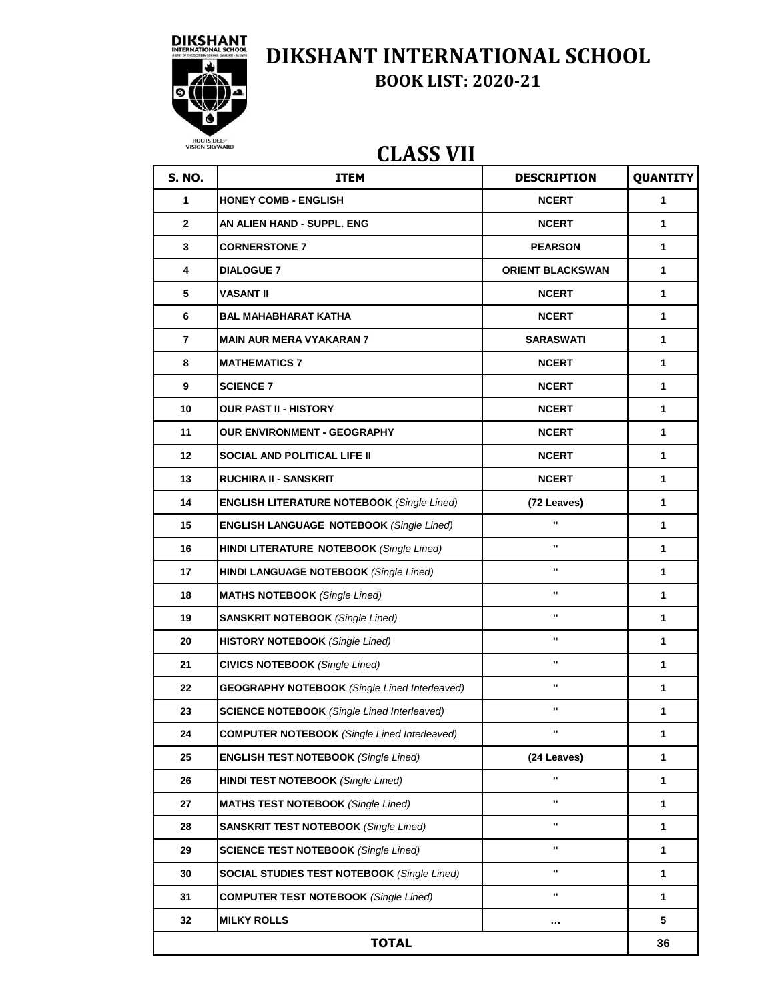

## **CLASS VII**

| <b>S. NO.</b>  | <b>ITEM</b>                                          | <b>DESCRIPTION</b>      | <b>QUANTITY</b> |
|----------------|------------------------------------------------------|-------------------------|-----------------|
| $\mathbf{1}$   | <b>HONEY COMB - ENGLISH</b>                          | <b>NCERT</b>            | $\mathbf{1}$    |
| $\mathbf{2}$   | AN ALIEN HAND - SUPPL. ENG                           | <b>NCERT</b>            | $\mathbf 1$     |
| 3              | <b>CORNERSTONE 7</b>                                 | <b>PEARSON</b>          | $\mathbf 1$     |
| 4              | <b>DIALOGUE 7</b>                                    | <b>ORIENT BLACKSWAN</b> | 1               |
| 5              | <b>VASANT II</b>                                     | <b>NCERT</b>            | $\mathbf{1}$    |
| 6              | <b>BAL MAHABHARAT KATHA</b>                          | <b>NCERT</b>            | 1               |
| $\overline{7}$ | <b>MAIN AUR MERA VYAKARAN 7</b>                      | <b>SARASWATI</b>        | 1               |
| 8              | <b>MATHEMATICS 7</b>                                 | <b>NCERT</b>            | 1               |
| 9              | <b>SCIENCE 7</b>                                     | <b>NCERT</b>            | 1               |
| 10             | <b>OUR PAST II - HISTORY</b>                         | <b>NCERT</b>            | $\mathbf{1}$    |
| 11             | OUR ENVIRONMENT - GEOGRAPHY                          | <b>NCERT</b>            | 1               |
| 12             | <b>SOCIAL AND POLITICAL LIFE II</b>                  | <b>NCERT</b>            | $\mathbf{1}$    |
| 13             | <b>RUCHIRA II - SANSKRIT</b>                         | <b>NCERT</b>            | 1               |
| 14             | <b>ENGLISH LITERATURE NOTEBOOK (Single Lined)</b>    | (72 Leaves)             | $\mathbf{1}$    |
| 15             | <b>ENGLISH LANGUAGE NOTEBOOK (Single Lined)</b>      | .,                      | 1               |
| 16             | <b>HINDI LITERATURE NOTEBOOK (Single Lined)</b>      | $\mathbf{u}$            | $\mathbf{1}$    |
| 17             | <b>HINDI LANGUAGE NOTEBOOK (Single Lined)</b>        |                         | 1               |
| 18             | <b>MATHS NOTEBOOK</b> (Single Lined)                 |                         | $\mathbf{1}$    |
| 19             | <b>SANSKRIT NOTEBOOK (Single Lined)</b>              |                         | 1               |
| 20             | <b>HISTORY NOTEBOOK</b> (Single Lined)               | .,                      | 1               |
| 21             | <b>CIVICS NOTEBOOK</b> (Single Lined)                |                         | 1               |
| 22             | <b>GEOGRAPHY NOTEBOOK</b> (Single Lined Interleaved) |                         | $\mathbf 1$     |
| 23             | <b>SCIENCE NOTEBOOK</b> (Single Lined Interleaved)   |                         | $\mathbf 1$     |
| 24             | <b>COMPUTER NOTEBOOK</b> (Single Lined Interleaved)  |                         | 1               |
| 25             | <b>ENGLISH TEST NOTEBOOK (Single Lined)</b>          | (24 Leaves)             | 1               |
| 26             | <b>HINDI TEST NOTEBOOK (Single Lined)</b>            | $\blacksquare$          | 1               |
| 27             | <b>MATHS TEST NOTEBOOK</b> (Single Lined)            |                         | 1               |
| 28             | <b>SANSKRIT TEST NOTEBOOK (Single Lined)</b>         | $\blacksquare$          | 1               |
| 29             | <b>SCIENCE TEST NOTEBOOK (Single Lined)</b>          |                         | 1               |
| 30             | <b>SOCIAL STUDIES TEST NOTEBOOK (Single Lined)</b>   |                         | $\mathbf{1}$    |
| 31             | <b>COMPUTER TEST NOTEBOOK (Single Lined)</b>         |                         | $\mathbf{1}$    |
| 32             | <b>MILKY ROLLS</b>                                   |                         | 5               |
|                | <b>TOTAL</b>                                         |                         | 36              |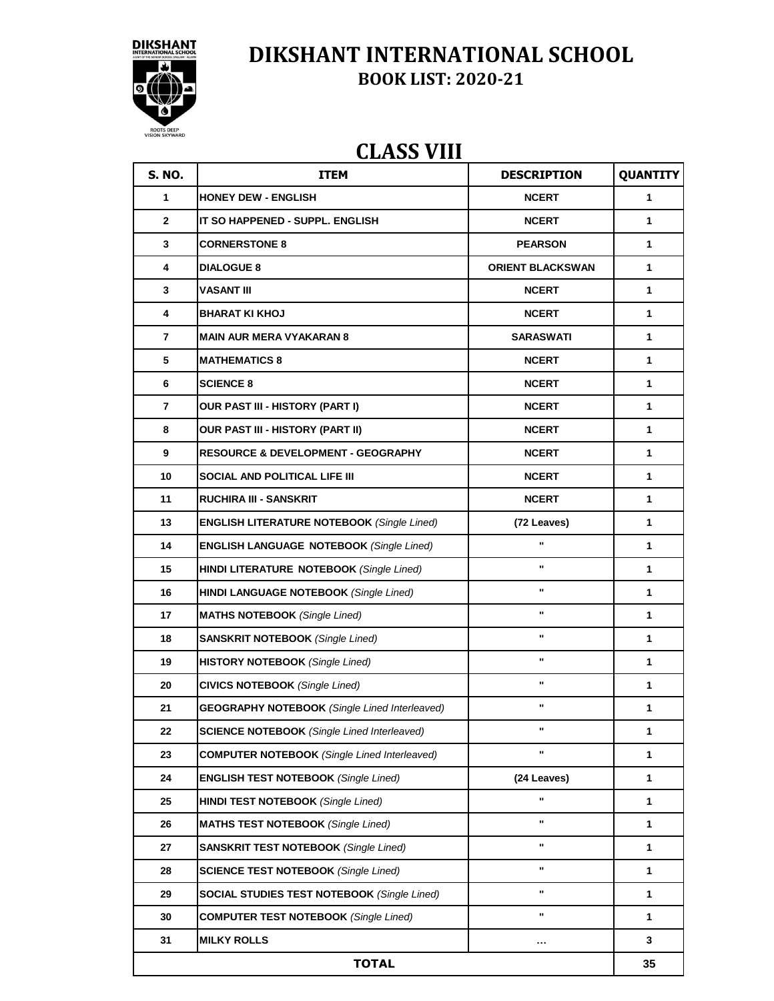

### **CLASS VIII**

| <b>S. NO.</b>           | <b>ITEM</b>                                          | <b>DESCRIPTION</b>      | <b>QUANTITY</b> |
|-------------------------|------------------------------------------------------|-------------------------|-----------------|
| 1                       | <b>HONEY DEW - ENGLISH</b>                           | <b>NCERT</b>            | 1               |
| $\mathbf{2}$            | IT SO HAPPENED - SUPPL. ENGLISH                      | <b>NCERT</b>            | 1               |
| $\mathbf{3}$            | <b>CORNERSTONE 8</b>                                 | <b>PEARSON</b>          | 1               |
| $\overline{\mathbf{4}}$ | <b>DIALOGUE 8</b>                                    | <b>ORIENT BLACKSWAN</b> | $\mathbf{1}$    |
| 3                       | <b>VASANT III</b>                                    | <b>NCERT</b>            | 1               |
| 4                       | <b>BHARAT KI KHOJ</b>                                | <b>NCERT</b>            | 1               |
| 7                       | <b>MAIN AUR MERA VYAKARAN 8</b>                      | <b>SARASWATI</b>        | 1               |
| 5                       | <b>MATHEMATICS 8</b>                                 | <b>NCERT</b>            | 1               |
| 6                       | <b>SCIENCE 8</b>                                     | <b>NCERT</b>            | 1               |
| 7                       | OUR PAST III - HISTORY (PART I)                      | <b>NCERT</b>            | 1               |
| 8                       | OUR PAST III - HISTORY (PART II)                     | <b>NCERT</b>            | 1               |
| 9                       | <b>RESOURCE &amp; DEVELOPMENT - GEOGRAPHY</b>        | <b>NCERT</b>            | $\mathbf{1}$    |
| 10                      | <b>SOCIAL AND POLITICAL LIFE III</b>                 | <b>NCERT</b>            | 1               |
| 11                      | <b>RUCHIRA III - SANSKRIT</b>                        | <b>NCERT</b>            | 1               |
| 13                      | <b>ENGLISH LITERATURE NOTEBOOK (Single Lined)</b>    | (72 Leaves)             | 1               |
| 14                      | <b>ENGLISH LANGUAGE NOTEBOOK (Single Lined)</b>      | u                       | 1               |
| 15                      | HINDI LITERATURE NOTEBOOK (Single Lined)             | u,                      | 1               |
| 16                      | <b>HINDI LANGUAGE NOTEBOOK (Single Lined)</b>        | π,                      | 1               |
| 17                      | <b>MATHS NOTEBOOK</b> (Single Lined)                 | u                       | 1               |
| 18                      | <b>SANSKRIT NOTEBOOK (Single Lined)</b>              | u                       | $\mathbf{1}$    |
| 19                      | <b>HISTORY NOTEBOOK (Single Lined)</b>               |                         | $\mathbf{1}$    |
| 20                      | <b>CIVICS NOTEBOOK</b> (Single Lined)                |                         | 1               |
| 21                      | <b>GEOGRAPHY NOTEBOOK (Single Lined Interleaved)</b> |                         | 1               |
| 22                      | <b>SCIENCE NOTEBOOK</b> (Single Lined Interleaved)   |                         | 1               |
| 23                      | <b>COMPUTER NOTEBOOK</b> (Single Lined Interleaved)  |                         | 1               |
| 24                      | <b>ENGLISH TEST NOTEBOOK (Single Lined)</b>          | (24 Leaves)             | 1               |
| 25                      | <b>HINDI TEST NOTEBOOK (Single Lined)</b>            |                         | 1               |
| 26                      | <b>MATHS TEST NOTEBOOK (Single Lined)</b>            | H,                      | $\mathbf{1}$    |
| 27                      | <b>SANSKRIT TEST NOTEBOOK (Single Lined)</b>         |                         | $\mathbf{1}$    |
| 28                      | <b>SCIENCE TEST NOTEBOOK (Single Lined)</b>          |                         | 1               |
| 29                      | <b>SOCIAL STUDIES TEST NOTEBOOK (Single Lined)</b>   |                         | 1               |
| 30                      | <b>COMPUTER TEST NOTEBOOK (Single Lined)</b>         |                         | 1               |
| 31                      | <b>MILKY ROLLS</b>                                   |                         | 3               |
| <b>TOTAL</b>            |                                                      |                         | 35              |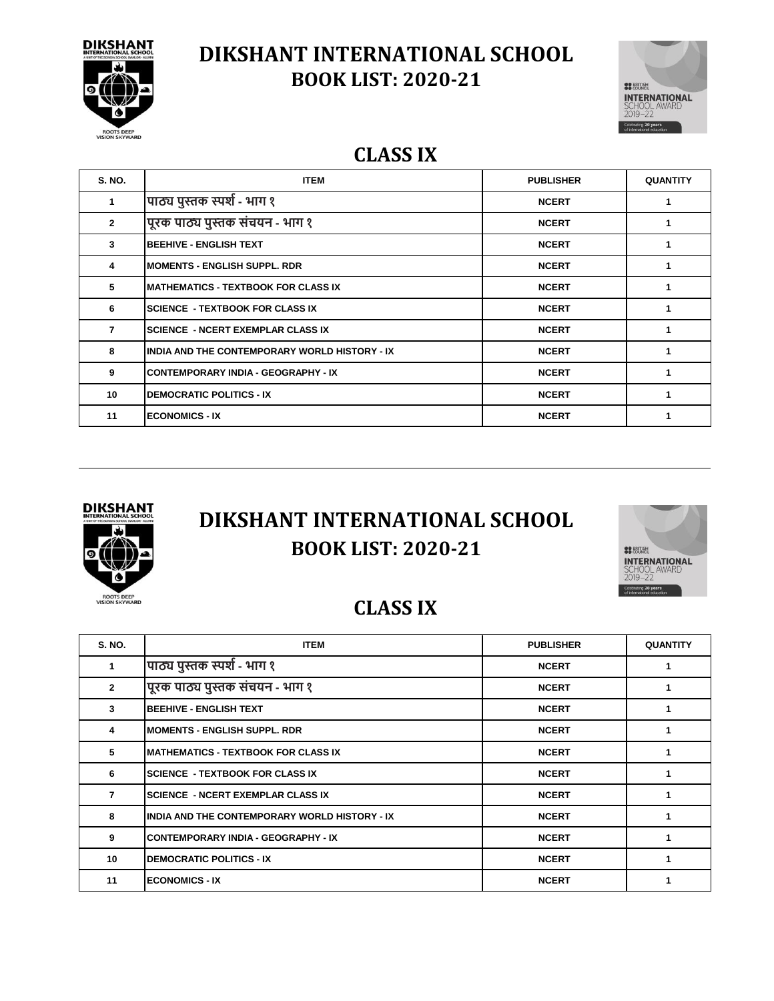



#### **CLASS IX**

| <b>S. NO.</b>  | <b>ITEM</b>                                   | <b>PUBLISHER</b> | <b>QUANTITY</b> |
|----------------|-----------------------------------------------|------------------|-----------------|
| 1              | पाठ्य पुस्तक स्पर्श - भाग १                   | <b>NCERT</b>     |                 |
| $\overline{2}$ | पूरक पाठ्य पुस्तक संचयन - भाग १               | <b>NCERT</b>     |                 |
| 3              | <b>BEEHIVE - ENGLISH TEXT</b>                 | <b>NCERT</b>     |                 |
| 4              | <b>IMOMENTS - ENGLISH SUPPL. RDR</b>          | <b>NCERT</b>     |                 |
| 5              | <b>IMATHEMATICS - TEXTBOOK FOR CLASS IX</b>   | <b>NCERT</b>     |                 |
| 6              | <b>SCIENCE - TEXTBOOK FOR CLASS IX</b>        | <b>NCERT</b>     |                 |
| $\overline{7}$ | <b>SCIENCE - NCERT EXEMPLAR CLASS IX</b>      | <b>NCERT</b>     |                 |
| 8              | INDIA AND THE CONTEMPORARY WORLD HISTORY - IX | <b>NCERT</b>     |                 |
| 9              | <b>CONTEMPORARY INDIA - GEOGRAPHY - IX</b>    | <b>NCERT</b>     |                 |
| 10             | <b>DEMOCRATIC POLITICS - IX</b>               | <b>NCERT</b>     |                 |
| 11             | <b>ECONOMICS - IX</b>                         | <b>NCERT</b>     |                 |



## **BOOK LIST: 2020-21 DIKSHANT INTERNATIONAL SCHOOL**



#### **CLASS IX**

| <b>S. NO.</b>  | <b>ITEM</b>                                   | <b>PUBLISHER</b> | <b>QUANTITY</b> |
|----------------|-----------------------------------------------|------------------|-----------------|
|                | पाठ्य पुस्तक स्पर्श - भाग १                   | <b>NCERT</b>     |                 |
| $\overline{2}$ | पूरक पाठ्य पुस्तक संचयन - भाग १               | <b>NCERT</b>     |                 |
| 3              | <b>BEEHIVE - ENGLISH TEXT</b>                 | <b>NCERT</b>     |                 |
| 4              | <b>MOMENTS - ENGLISH SUPPL. RDR</b>           | <b>NCERT</b>     |                 |
| 5              | <b>MATHEMATICS - TEXTBOOK FOR CLASS IX</b>    | <b>NCERT</b>     |                 |
| 6              | <b>SCIENCE - TEXTBOOK FOR CLASS IX</b>        | <b>NCERT</b>     |                 |
| 7              | <b>SCIENCE - NCERT EXEMPLAR CLASS IX</b>      | <b>NCERT</b>     |                 |
| 8              | INDIA AND THE CONTEMPORARY WORLD HISTORY - IX | <b>NCERT</b>     |                 |
| 9              | <b>CONTEMPORARY INDIA - GEOGRAPHY - IX</b>    | <b>NCERT</b>     |                 |
| 10             | <b>DEMOCRATIC POLITICS - IX</b>               | <b>NCERT</b>     |                 |
| 11             | <b>ECONOMICS - IX</b>                         | <b>NCERT</b>     |                 |